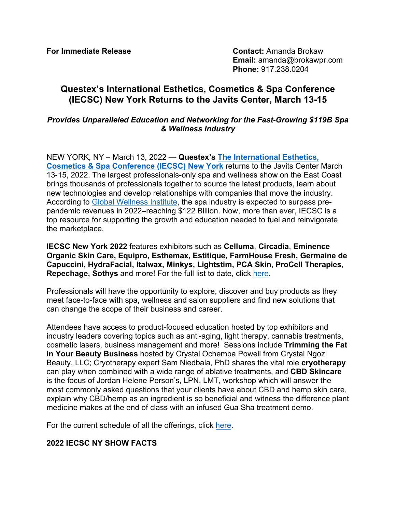**For Immediate Release Contact:** Amanda Brokaw **Email:** amanda@brokawpr.com **Phone:** 917.238.0204

# **Questex's International Esthetics, Cosmetics & Spa Conference (IECSC) New York Returns to the Javits Center, March 13-15**

### *Provides Unparalleled Education and Networking for the Fast-Growing \$119B Spa & Wellness Industry*

NEW YORK, NY – March 13, 2022 — **Questex's [The International Esthetics,](https://www.iecscnewyork.com/)  [Cosmetics & Spa Conference \(IECSC\) New York](https://www.iecscnewyork.com/)** returns to the Javits Center March 13‐15, 2022. The largest professionals-only spa and wellness show on the East Coast brings thousands of professionals together to source the latest products, learn about new technologies and develop relationships with companies that move the industry. According to [Global Wellness Institute,](https://globalwellnessinstitute.org/global-wellness-institute-blog/2022/01/25/spa-industry-expected-to-surpass-pre-pandemic-revenues-in-2022-reaching-122-billion/#:%7E:text=But%20GWI%20estimates%20that%20the,(more%20than%20doubling%20revenues)) the spa industry is expected to surpass prepandemic revenues in 2022–reaching \$122 Billion. Now, more than ever, IECSC is a top resource for supporting the growth and education needed to fuel and reinvigorate the marketplace.

**IECSC New York 2022** features exhibitors such as **Celluma**, **Circadia**, **Eminence Organic Skin Care, Equipro, Esthemax, Estitique, FarmHouse Fresh, Germaine de Capuccini, HydraFacial, Italwax, Minkys, Lightstim, PCA Skin**, **ProCell Therapies**, **Repechage, Sothys** and more! For the full list to date, click [here.](https://s36.a2zinc.net/clients/questex/iecscny22/Public/Exhibitors.aspx?ID=7940&sortMenu=103001)

Professionals will have the opportunity to explore, discover and buy products as they meet face-to-face with spa, wellness and salon suppliers and find new solutions that can change the scope of their business and career.

Attendees have access to product-focused education hosted by top exhibitors and industry leaders covering topics such as anti-aging, light therapy, cannabis treatments, cosmetic lasers, business management and more! Sessions include **Trimming the Fat in Your Beauty Business** hosted by Crystal Ochemba Powell from Crystal Ngozi Beauty, LLC; Cryotherapy expert Sam Niedbala, PhD shares the vital role **cryotherapy** can play when combined with a wide range of ablative treatments, and **CBD Skincare** is the focus of Jordan Helene Person's, LPN, LMT, workshop which will answer the most commonly asked questions that your clients have about CBD and hemp skin care, explain why CBD/hemp as an ingredient is so beneficial and witness the difference plant medicine makes at the end of class with an infused Gua Sha treatment demo.

For the current schedule of all the offerings, click [here.](https://www.iecscnewyork.com/iecscnewyorkcom/schedule)

## **2022 IECSC NY SHOW FACTS**